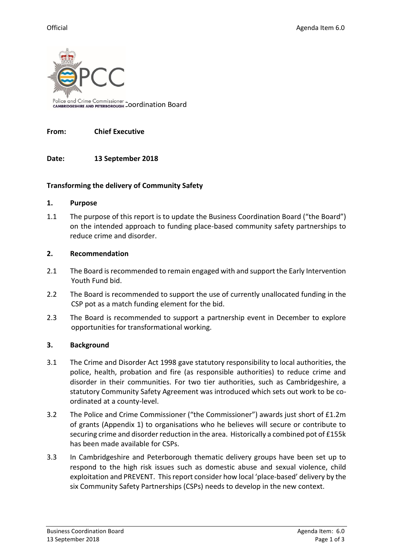

### **From: Chief Executive**

# **Date: 13 September 2018**

### **Transforming the delivery of Community Safety**

### **1. Purpose**

1.1 The purpose of this report is to update the Business Coordination Board ("the Board") on the intended approach to funding place-based community safety partnerships to reduce crime and disorder.

### **2. Recommendation**

- 2.1 The Board is recommended to remain engaged with and support the Early Intervention Youth Fund bid.
- 2.2 The Board is recommended to support the use of currently unallocated funding in the CSP pot as a match funding element for the bid.
- 2.3 The Board is recommended to support a partnership event in December to explore opportunities for transformational working.

# **3. Background**

- 3.1 The Crime and Disorder Act 1998 gave statutory responsibility to local authorities, the police, health, probation and fire (as responsible authorities) to reduce crime and disorder in their communities. For two tier authorities, such as Cambridgeshire, a statutory Community Safety Agreement was introduced which sets out work to be coordinated at a county-level.
- 3.2 The Police and Crime Commissioner ("the Commissioner") awards just short of £1.2m of grants (Appendix 1) to organisations who he believes will secure or contribute to securing crime and disorder reduction in the area. Historically a combined pot of £155k has been made available for CSPs.
- 3.3 In Cambridgeshire and Peterborough thematic delivery groups have been set up to respond to the high risk issues such as domestic abuse and sexual violence, child exploitation and PREVENT. This report consider how local 'place-based' delivery by the six Community Safety Partnerships (CSPs) needs to develop in the new context.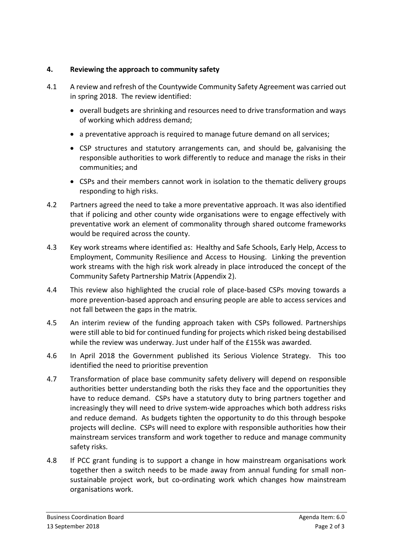# **4. Reviewing the approach to community safety**

- 4.1 A review and refresh of the Countywide Community Safety Agreement was carried out in spring 2018. The review identified:
	- overall budgets are shrinking and resources need to drive transformation and ways of working which address demand;
	- a preventative approach is required to manage future demand on all services;
	- CSP structures and statutory arrangements can, and should be, galvanising the responsible authorities to work differently to reduce and manage the risks in their communities; and
	- CSPs and their members cannot work in isolation to the thematic delivery groups responding to high risks.
- 4.2 Partners agreed the need to take a more preventative approach. It was also identified that if policing and other county wide organisations were to engage effectively with preventative work an element of commonality through shared outcome frameworks would be required across the county.
- 4.3 Key work streams where identified as: Healthy and Safe Schools, Early Help, Access to Employment, Community Resilience and Access to Housing. Linking the prevention work streams with the high risk work already in place introduced the concept of the Community Safety Partnership Matrix (Appendix 2).
- 4.4 This review also highlighted the crucial role of place-based CSPs moving towards a more prevention-based approach and ensuring people are able to access services and not fall between the gaps in the matrix.
- 4.5 An interim review of the funding approach taken with CSPs followed. Partnerships were still able to bid for continued funding for projects which risked being destabilised while the review was underway. Just under half of the £155k was awarded.
- 4.6 In April 2018 the Government published its Serious Violence Strategy. This too identified the need to prioritise prevention
- 4.7 Transformation of place base community safety delivery will depend on responsible authorities better understanding both the risks they face and the opportunities they have to reduce demand. CSPs have a statutory duty to bring partners together and increasingly they will need to drive system-wide approaches which both address risks and reduce demand. As budgets tighten the opportunity to do this through bespoke projects will decline. CSPs will need to explore with responsible authorities how their mainstream services transform and work together to reduce and manage community safety risks.
- 4.8 If PCC grant funding is to support a change in how mainstream organisations work together then a switch needs to be made away from annual funding for small nonsustainable project work, but co-ordinating work which changes how mainstream organisations work.